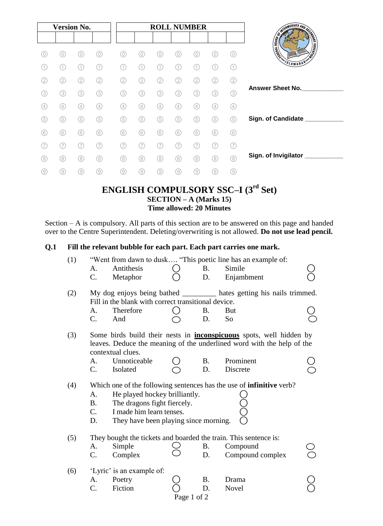|     | <b>Version No.</b> |                  |                   |     |     | <b>ROLL NUMBER</b> |     |     |     |                   |                              |
|-----|--------------------|------------------|-------------------|-----|-----|--------------------|-----|-----|-----|-------------------|------------------------------|
|     |                    |                  |                   |     |     |                    |     |     |     |                   |                              |
| 0   | 0)                 | 0)               | 0                 |     | 0   | 0)                 | 0   |     |     | 0                 | <b>REGISTER AND REGISTER</b> |
| 1   | 11                 | $\left(1\right)$ | (1)               |     | 11  | (1)                | 11  |     |     | (1)               | SLAMABAD'                    |
| (2) | (2)                | (2)              | (2)               | (2) | (2) | (2)                | (2) | 2   | (2) | ②                 |                              |
| (3) | (3)                | (3)              | (3)               | 3   | 3   | (3)                | 3   | (3) | (3) | (3)               | <b>Answer Sheet No.</b>      |
| (4) | (4)                | (4)              | $\left( 4\right)$ | (4) | (4) | 4                  | (4) | (4) | (4) | $\left( 4\right)$ |                              |
| (5) | (5)                | (5)              | (5)               | (5  | (5) | (5)                | (5) | (5) | (5) | (5)               | Sign. of Candidate ____      |
| (6) | (6)                | (6)              | (6)               | 6   | 6   | (6)                | (6) | 6   | 6   | (6)               |                              |
|     |                    |                  | (7                |     |     |                    |     |     |     | 7                 |                              |
| (8) | (8)                | (8)              | (8)               | (8) | (8) | (8)                | (8) | (8) | (8) | (8)               | Sign. of Invigilator         |
| (9) | (9)                | (9)              | (9)               | (9) | (9) | (9)                | (9) | (9) | (9) | (9)               |                              |

## **ENGLISH COMPULSORY SSC–I (3rd Set) SECTION – A (Marks 15) Time allowed: 20 Minutes**

Section – A is compulsory. All parts of this section are to be answered on this page and handed over to the Centre Superintendent. Deleting/overwriting is not allowed. **Do not use lead pencil.**

## **Q.1 Fill the relevant bubble for each part. Each part carries one mark.**

| Antithesis<br>Simile<br>A.<br><b>B.</b><br>C.<br>Metaphor<br>D.<br>Enjambment<br>My dog enjoys being bathed ____________ hates getting his nails trimmed.<br>(2)<br>Fill in the blank with correct transitional device.<br>Therefore<br>A.<br><b>B.</b><br>But<br>C.<br>D.<br>And<br>So<br>Some birds build their nests in <b>inconspicuous</b> spots, well hidden by<br>(3)<br>leaves. Deduce the meaning of the underlined word with the help of the<br>contextual clues.<br>Prominent<br>Unnoticeable<br><b>B.</b><br>A.<br>C.<br>Isolated<br>D.<br>Discrete<br>Which one of the following sentences has the use of <b>infinitive</b> verb?<br>(4)<br>He played hockey brilliantly.<br>A.<br>The dragons fight fiercely.<br><b>B.</b><br>I made him learn tenses.<br>$\mathcal{C}$ . |  |
|-----------------------------------------------------------------------------------------------------------------------------------------------------------------------------------------------------------------------------------------------------------------------------------------------------------------------------------------------------------------------------------------------------------------------------------------------------------------------------------------------------------------------------------------------------------------------------------------------------------------------------------------------------------------------------------------------------------------------------------------------------------------------------------------|--|
|                                                                                                                                                                                                                                                                                                                                                                                                                                                                                                                                                                                                                                                                                                                                                                                         |  |
|                                                                                                                                                                                                                                                                                                                                                                                                                                                                                                                                                                                                                                                                                                                                                                                         |  |
|                                                                                                                                                                                                                                                                                                                                                                                                                                                                                                                                                                                                                                                                                                                                                                                         |  |
|                                                                                                                                                                                                                                                                                                                                                                                                                                                                                                                                                                                                                                                                                                                                                                                         |  |
|                                                                                                                                                                                                                                                                                                                                                                                                                                                                                                                                                                                                                                                                                                                                                                                         |  |
|                                                                                                                                                                                                                                                                                                                                                                                                                                                                                                                                                                                                                                                                                                                                                                                         |  |
|                                                                                                                                                                                                                                                                                                                                                                                                                                                                                                                                                                                                                                                                                                                                                                                         |  |
|                                                                                                                                                                                                                                                                                                                                                                                                                                                                                                                                                                                                                                                                                                                                                                                         |  |
| They have been playing since morning.<br>D.                                                                                                                                                                                                                                                                                                                                                                                                                                                                                                                                                                                                                                                                                                                                             |  |
| They bought the tickets and boarded the train. This sentence is:<br>(5)                                                                                                                                                                                                                                                                                                                                                                                                                                                                                                                                                                                                                                                                                                                 |  |
| Simple<br>Compound<br>A.<br><b>B.</b>                                                                                                                                                                                                                                                                                                                                                                                                                                                                                                                                                                                                                                                                                                                                                   |  |
| C.<br>D.<br>Compound complex<br>Complex                                                                                                                                                                                                                                                                                                                                                                                                                                                                                                                                                                                                                                                                                                                                                 |  |
| 'Lyric' is an example of:<br>(6)                                                                                                                                                                                                                                                                                                                                                                                                                                                                                                                                                                                                                                                                                                                                                        |  |
| <b>B.</b><br>Poetry<br>Drama<br>A.                                                                                                                                                                                                                                                                                                                                                                                                                                                                                                                                                                                                                                                                                                                                                      |  |
| Fiction<br>C.<br>Novel<br>D.                                                                                                                                                                                                                                                                                                                                                                                                                                                                                                                                                                                                                                                                                                                                                            |  |
|                                                                                                                                                                                                                                                                                                                                                                                                                                                                                                                                                                                                                                                                                                                                                                                         |  |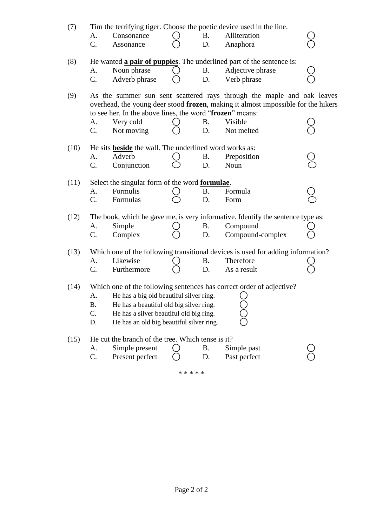| (7)  |                                                                                                                                                                                                                                                                                  |                                                               |  |           | Tim the terrifying tiger. Choose the poetic device used in the line.            |  |  |  |  |  |  |
|------|----------------------------------------------------------------------------------------------------------------------------------------------------------------------------------------------------------------------------------------------------------------------------------|---------------------------------------------------------------|--|-----------|---------------------------------------------------------------------------------|--|--|--|--|--|--|
|      | A.                                                                                                                                                                                                                                                                               | Consonance                                                    |  | <b>B.</b> | Alliteration                                                                    |  |  |  |  |  |  |
|      | C.                                                                                                                                                                                                                                                                               | Assonance                                                     |  | D.        | Anaphora                                                                        |  |  |  |  |  |  |
| (8)  |                                                                                                                                                                                                                                                                                  |                                                               |  |           | He wanted <b>a pair of puppies</b> . The underlined part of the sentence is:    |  |  |  |  |  |  |
|      | A.                                                                                                                                                                                                                                                                               | Noun phrase                                                   |  | <b>B.</b> | Adjective phrase                                                                |  |  |  |  |  |  |
|      | $C_{\cdot}$                                                                                                                                                                                                                                                                      | Adverb phrase                                                 |  | D.        | Verb phrase                                                                     |  |  |  |  |  |  |
| (9)  | As the summer sun sent scattered rays through the maple and oak leaves<br>overhead, the young deer stood frozen, making it almost impossible for the hikers<br>to see her. In the above lines, the word "frozen" means:                                                          |                                                               |  |           |                                                                                 |  |  |  |  |  |  |
|      | А.                                                                                                                                                                                                                                                                               | Very cold                                                     |  | <b>B.</b> | Visible                                                                         |  |  |  |  |  |  |
|      | $\mathcal{C}$ .                                                                                                                                                                                                                                                                  | Not moving                                                    |  | D.        | Not melted                                                                      |  |  |  |  |  |  |
| (10) |                                                                                                                                                                                                                                                                                  | He sits <b>beside</b> the wall. The underlined word works as: |  |           |                                                                                 |  |  |  |  |  |  |
|      | A.                                                                                                                                                                                                                                                                               | Adverb                                                        |  | <b>B.</b> | Preposition                                                                     |  |  |  |  |  |  |
|      | C.                                                                                                                                                                                                                                                                               | Conjunction                                                   |  | D.        | Noun                                                                            |  |  |  |  |  |  |
| (11) | Select the singular form of the word <b>formulae</b> .                                                                                                                                                                                                                           |                                                               |  |           |                                                                                 |  |  |  |  |  |  |
|      | A.                                                                                                                                                                                                                                                                               | Formulis                                                      |  | B.        | Formula                                                                         |  |  |  |  |  |  |
|      | $C_{\cdot}$                                                                                                                                                                                                                                                                      | Formulas                                                      |  | D.        | Form                                                                            |  |  |  |  |  |  |
| (12) |                                                                                                                                                                                                                                                                                  |                                                               |  |           | The book, which he gave me, is very informative. Identify the sentence type as: |  |  |  |  |  |  |
|      | A.                                                                                                                                                                                                                                                                               | Simple                                                        |  | <b>B.</b> | Compound                                                                        |  |  |  |  |  |  |
|      | C.                                                                                                                                                                                                                                                                               | Complex                                                       |  | D.        | Compound-complex                                                                |  |  |  |  |  |  |
| (13) |                                                                                                                                                                                                                                                                                  |                                                               |  |           | Which one of the following transitional devices is used for adding information? |  |  |  |  |  |  |
|      | A.                                                                                                                                                                                                                                                                               | Likewise                                                      |  | <b>B.</b> | Therefore                                                                       |  |  |  |  |  |  |
|      | C.                                                                                                                                                                                                                                                                               | Furthermore                                                   |  | D.        | As a result                                                                     |  |  |  |  |  |  |
| (14) | Which one of the following sentences has correct order of adjective?<br>He has a big old beautiful silver ring.<br>A.<br>He has a beautiful old big silver ring.<br><b>B.</b><br>C.<br>He has a silver beautiful old big ring.<br>D.<br>He has an old big beautiful silver ring. |                                                               |  |           |                                                                                 |  |  |  |  |  |  |
| (15) |                                                                                                                                                                                                                                                                                  | He cut the branch of the tree. Which tense is it?             |  |           |                                                                                 |  |  |  |  |  |  |
|      | A.                                                                                                                                                                                                                                                                               | Simple present                                                |  | В.        | Simple past                                                                     |  |  |  |  |  |  |
|      | C.                                                                                                                                                                                                                                                                               | Present perfect                                               |  | D.        | Past perfect                                                                    |  |  |  |  |  |  |

\* \* \* \* \*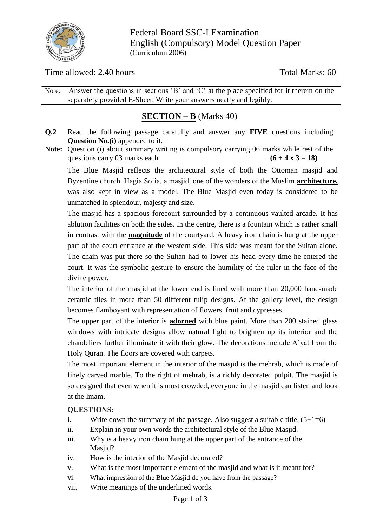

Federal Board SSC-I Examination English (Compulsory) Model Question Paper (Curriculum 2006)

Time allowed: 2.40 hours Total Marks: 60

Note: Answer the questions in sections 'B' and 'C' at the place specified for it therein on the separately provided E-Sheet. Write your answers neatly and legibly.

## **SECTION – B** (Marks 40)

- **Q.2** Read the following passage carefully and answer any **FIVE** questions including **Question No.(i)** appended to it.
- **Note:** Question (i) about summary writing is compulsory carrying 06 marks while rest of the questions carry 03 marks each.  $(6 + 4 \times 3 = 18)$

The Blue Masjid reflects the architectural style of both the Ottoman masjid and Byzentine church. Hagia Sofia, a masjid, one of the wonders of the Muslim **architecture,** was also kept in view as a model. The Blue Masjid even today is considered to be unmatched in splendour, majesty and size.

The masjid has a spacious forecourt surrounded by a continuous vaulted arcade. It has ablution facilities on both the sides. In the centre, there is a fountain which is rather small in contrast with the **magnitude** of the courtyard. A heavy iron chain is hung at the upper part of the court entrance at the western side. This side was meant for the Sultan alone. The chain was put there so the Sultan had to lower his head every time he entered the court. It was the symbolic gesture to ensure the humility of the ruler in the face of the divine power.

The interior of the masjid at the lower end is lined with more than 20,000 hand-made ceramic tiles in more than 50 different tulip designs. At the gallery level, the design becomes flamboyant with representation of flowers, fruit and cypresses.

The upper part of the interior is **adorned** with blue paint. More than 200 stained glass windows with intricate designs allow natural light to brighten up its interior and the chandeliers further illuminate it with their glow. The decorations include A"yat from the Holy Quran. The floors are covered with carpets.

The most important element in the interior of the masjid is the mehrab, which is made of finely carved marble. To the right of mehrab, is a richly decorated pulpit. The masjid is so designed that even when it is most crowded, everyone in the masjid can listen and look at the Imam.

## **QUESTIONS:**

- i. Write down the summary of the passage. Also suggest a suitable title.  $(5+1=6)$
- ii. Explain in your own words the architectural style of the Blue Masjid.
- iii. Why is a heavy iron chain hung at the upper part of the entrance of the Masjid?
- iv. How is the interior of the Masjid decorated?
- v. What is the most important element of the masjid and what is it meant for?
- vi. What impression of the Blue Masjid do you have from the passage?
- vii. Write meanings of the underlined words.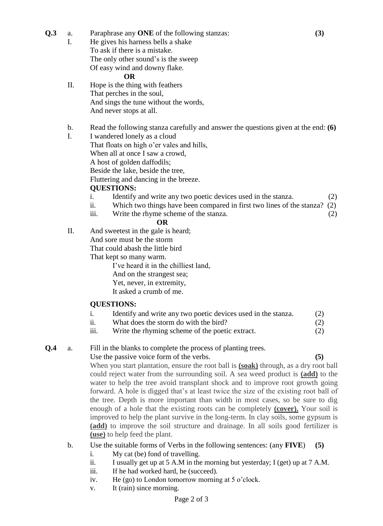- **Q.3** a. Paraphrase any **ONE** of the following stanzas: **(3)**
	- I. He gives his harness bells a shake To ask if there is a mistake. The only other sound's is the sweep Of easy wind and downy flake.

#### **OR**

- II. Hope is the thing with feathers That perches in the soul, And sings the tune without the words, And never stops at all.
- b. Read the following stanza carefully and answer the questions given at the end: **(6)**
- I. I wandered lonely as a cloud That floats on high o'er vales and hills, When all at once I saw a crowd, A host of golden daffodils; Beside the lake, beside the tree, Fluttering and dancing in the breeze.

#### **QUESTIONS:**

- i. Identify and write any two poetic devices used in the stanza. (2)
- ii. Which two things have been compared in first two lines of the stanza? (2)
- iii. Write the rhyme scheme of the stanza. (2)

#### **OR**

II. And sweetest in the gale is heard; And sore must be the storm

That could abash the little bird

That kept so many warm.

I"ve heard it in the chilliest land,

- And on the strangest sea;
- Yet, never, in extremity,
- It asked a crumb of me.

#### **QUESTIONS:**

- i. Identify and write any two poetic devices used in the stanza. (2)
- ii. What does the storm do with the bird? (2)
- iii. Write the rhyming scheme of the poetic extract. (2)

#### **Q.4** a. Fill in the blanks to complete the process of planting trees.

Use the passive voice form of the verbs. **(5)** When you start plantation, ensure the root ball is **(soak)** through, as a dry root ball could reject water from the surrounding soil. A sea weed product is **(add)** to the water to help the tree avoid transplant shock and to improve root growth going forward. A hole is digged that"s at least twice the size of the existing root ball of the tree. Depth is more important than width in most cases, so be sure to dig enough of a hole that the existing roots can be completely **(cover).** Your soil is improved to help the plant survive in the long-term. In clay soils, some gypsum is **(add)** to improve the soil structure and drainage. In all soils good fertilizer is **(use)** to help feed the plant.

#### b. Use the suitable forms of Verbs in the following sentences: (any **FIVE**) **(5)**

- i. My cat (be) fond of travelling.
- ii. I usually get up at 5 A.M in the morning but yesterday; I (get) up at 7 A.M.
- iii. If he had worked hard, he (succeed).
- iv. He (go) to London tomorrow morning at 5 o"clock.
- v. It (rain) since morning.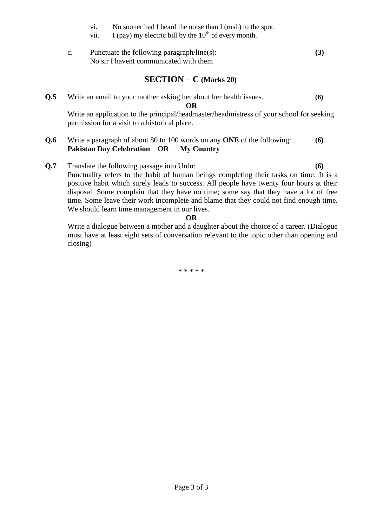- vi. No sooner had I heard the noise than I (rush) to the spot.
- vii. I (pay) my electric bill by the  $10^{th}$  of every month.
- c. Punctuate the following paragraph/line(s): **(3)** No sir I havent communicated with them

## **SECTION – C (Marks 20)**

**Q.5** Write an email to your mother asking her about her health issues. **(8)**

**OR**

Write an application to the principal/headmaster/headmistress of your school for seeking permission for a visit to a historical place.

- **Q.6** Write a paragraph of about 80 to 100 words on any **ONE** of the following: **(6) Pakistan Day Celebration OR My Country**
- **Q.7** Translate the following passage into Urdu: **(6)**  Punctuality refers to the habit of human beings completing their tasks on time. It is a positive habit which surely leads to success. All people have twenty four hours at their disposal. Some complain that they have no time; some say that they have a lot of free time. Some leave their work incomplete and blame that they could not find enough time. We should learn time management in our lives.

#### **OR**

Write a dialogue between a mother and a daughter about the choice of a career. (Dialogue must have at least eight sets of conversation relevant to the topic other than opening and closing)

\* \* \* \* \*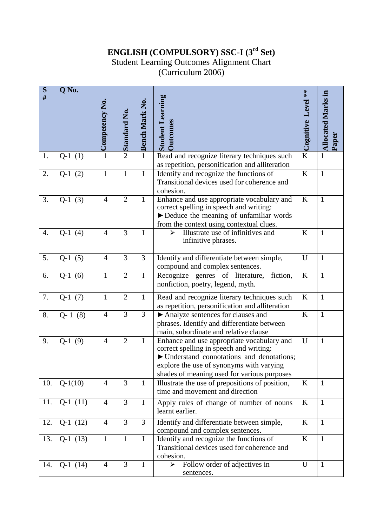# **ENGLISH (COMPULSORY) SSC-I (3rd Set)**

# Student Learning Outcomes Alignment Chart

(Curriculum 2006)

| $\overline{\mathbf{S}}$ # | $\overline{Q}$ No. |                |                     |                |                                                                                                                                                                                                                                | Level **  |                                    |
|---------------------------|--------------------|----------------|---------------------|----------------|--------------------------------------------------------------------------------------------------------------------------------------------------------------------------------------------------------------------------------|-----------|------------------------------------|
|                           |                    | Competency No. | <b>Standard No.</b> | Bench Mark No. | <b>Student Learning</b><br><b>Outcomes</b>                                                                                                                                                                                     | Cognitive | <b>Allocated Marks in</b><br>Paper |
| 1.                        | $Q-1(1)$           | $\overline{1}$ | $\overline{2}$      | $\mathbf{1}$   | Read and recognize literary techniques such<br>as repetition, personification and alliteration                                                                                                                                 | K         | $\mathbf{1}$                       |
| 2.                        | $Q-1(2)$           | $\mathbf{1}$   | $\mathbf{1}$        | $\mathbf I$    | Identify and recognize the functions of<br>Transitional devices used for coherence and<br>cohesion.                                                                                                                            | K         | $\mathbf{1}$                       |
| 3.                        | $Q-1(3)$           | $\overline{4}$ | $\overline{2}$      | $\mathbf{1}$   | Enhance and use appropriate vocabulary and<br>correct spelling in speech and writing:<br>Deduce the meaning of unfamiliar words<br>from the context using contextual clues.                                                    | K         | $\mathbf{1}$                       |
| $\overline{4}$ .          | $Q-1(4)$           | $\overline{4}$ | 3                   | $\mathbf I$    | Illustrate use of infinitives and<br>⋗<br>infinitive phrases.                                                                                                                                                                  | K         | $\mathbf{1}$                       |
| 5.                        | $Q-1(5)$           | $\overline{4}$ | 3                   | $\overline{3}$ | Identify and differentiate between simple,<br>compound and complex sentences.                                                                                                                                                  | U         | $\mathbf{1}$                       |
| 6.                        | $Q-1(6)$           | $\mathbf{1}$   | $\overline{2}$      | $\mathbf I$    | Recognize genres of literature,<br>fiction,<br>nonfiction, poetry, legend, myth.                                                                                                                                               | $\rm K$   | $\mathbf{1}$                       |
| 7.                        | $Q-1(7)$           | $\mathbf{1}$   | $\overline{2}$      | $\mathbf{1}$   | Read and recognize literary techniques such<br>as repetition, personification and alliteration                                                                                                                                 | K         | $\mathbf{1}$                       |
| 8.                        | $Q-1(8)$           | $\overline{4}$ | $\overline{3}$      | $\overline{3}$ | Analyze sentences for clauses and<br>phrases. Identify and differentiate between<br>main, subordinate and relative clause                                                                                                      | $\rm K$   | $\mathbf{1}$                       |
| 9.                        | $Q-1$<br>(9)       | $\overline{4}$ | $\overline{2}$      | $\mathbf I$    | Enhance and use appropriate vocabulary and<br>correct spelling in speech and writing:<br>▶ Understand connotations and denotations;<br>explore the use of synonyms with varying<br>shades of meaning used for various purposes | U         | $\mathbf{1}$                       |
| 10.                       | $Q-1(10)$          | 4              | 3                   | $\mathbf{1}$   | Illustrate the use of prepositions of position,<br>time and movement and direction                                                                                                                                             | $\bf K$   | $\mathbf{1}$                       |
| 11.                       | $Q-1(11)$          | $\overline{4}$ | 3                   | $\mathbf I$    | Apply rules of change of number of nouns<br>learnt earlier.                                                                                                                                                                    | K         | $\mathbf{1}$                       |
| 12.                       | $Q-1(12)$          | $\overline{4}$ | 3                   | 3              | Identify and differentiate between simple,<br>compound and complex sentences.                                                                                                                                                  | K         | $\mathbf{1}$                       |
| 13.                       | $Q-1(13)$          | $\mathbf{1}$   | $\mathbf{1}$        | $\mathbf I$    | Identify and recognize the functions of<br>Transitional devices used for coherence and<br>cohesion.                                                                                                                            | K         | $\mathbf{1}$                       |
| 14.                       | $Q-1(14)$          | $\overline{4}$ | $\overline{3}$      | $\bf{I}$       | Follow order of adjectives in<br>➤<br>sentences.                                                                                                                                                                               | U         | $\mathbf{1}$                       |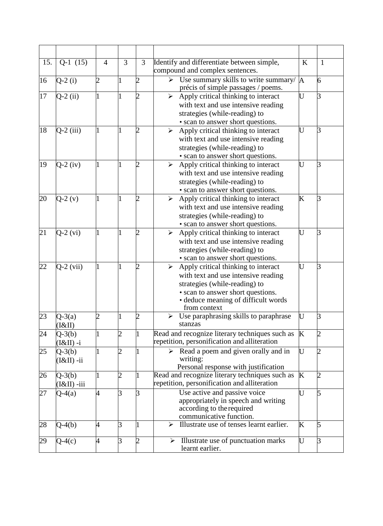| 15. | $Q-1(15)$                 | $\overline{4}$ | $\overline{3}$              | 3              | Identify and differentiate between simple,<br>compound and complex sentences.                                                                                                                                                    | K | 1              |
|-----|---------------------------|----------------|-----------------------------|----------------|----------------------------------------------------------------------------------------------------------------------------------------------------------------------------------------------------------------------------------|---|----------------|
| 16  | $Q-2(i)$                  | $\overline{2}$ | 1                           | $\overline{2}$ | Use summary skills to write summary/<br>⋗<br>précis of simple passages / poems.                                                                                                                                                  | A | 6              |
| 17  | $Q-2$ (ii)                |                | 1                           | $\overline{2}$ | Apply critical thinking to interact<br>$\blacktriangleright$<br>with text and use intensive reading<br>strategies (while-reading) to<br>• scan to answer short questions.                                                        | U | 3              |
| 18  | $Q-2$ (iii)               |                |                             | 2              | Apply critical thinking to interact<br>➤<br>with text and use intensive reading<br>strategies (while-reading) to<br>• scan to answer short questions.                                                                            | Ū | 3              |
| 19  | $Q-2$ (iv)                |                |                             | $\overline{2}$ | Apply critical thinking to interact<br>$\blacktriangleright$<br>with text and use intensive reading<br>strategies (while-reading) to<br>• scan to answer short questions.                                                        | U | 3              |
| 20  | $Q-2(v)$                  |                |                             | $\overline{2}$ | Apply critical thinking to interact<br>$\blacktriangleright$<br>with text and use intensive reading<br>strategies (while-reading) to<br>• scan to answer short questions.                                                        | K | 3              |
| 21  | $Q-2$ (vi)                |                |                             | $\overline{2}$ | Apply critical thinking to interact<br>≻<br>with text and use intensive reading<br>strategies (while-reading) to<br>• scan to answer short questions.                                                                            | Ū | 3              |
| 22  | $Q-2$ (vii)               |                |                             | $\overline{2}$ | Apply critical thinking to interact<br>$\blacktriangleright$<br>with text and use intensive reading<br>strategies (while-reading) to<br>• scan to answer short questions.<br>• deduce meaning of difficult words<br>from context | U | 3              |
| 23  | $Q-3(a)$<br>(I&II)        | 2              |                             | 2              | Use paraphrasing skills to paraphrase<br>➤<br>stanzas                                                                                                                                                                            | U | 3              |
| 24  | $Q-3(b)$<br>$(I&II) -i$   |                | 2                           | $\mathbf{1}$   | Read and recognize literary techniques such as<br>repetition, personification and alliteration                                                                                                                                   | K | $\overline{c}$ |
| 25  | $Q-3(b)$<br>$(I&II) - ii$ |                | $\mathcal{D}_{\mathcal{A}}$ |                | Read a poem and given orally and in<br>writing:<br>Personal response with justification                                                                                                                                          | U | 2              |
| 26  | $Q-3(b)$<br>$(I&II)$ -iii |                | $\overline{c}$              | $\mathbf{1}$   | Read and recognize literary techniques such as<br>repetition, personification and alliteration                                                                                                                                   | K | $\overline{c}$ |
| 27  | $Q-4(a)$                  | 4              | 3                           | 3              | Use active and passive voice<br>appropriately in speech and writing<br>according to the required<br>communicative function.                                                                                                      | U | 5              |
| 28  | $Q-4(b)$                  | 4              | 3                           | $\overline{1}$ | Illustrate use of tenses learnt earlier.<br>⋗                                                                                                                                                                                    | K | 5              |
| 29  | $Q-4(c)$                  | 4              | 3                           | $\overline{2}$ | Illustrate use of punctuation marks<br>≻<br>learnt earlier.                                                                                                                                                                      | U | 3              |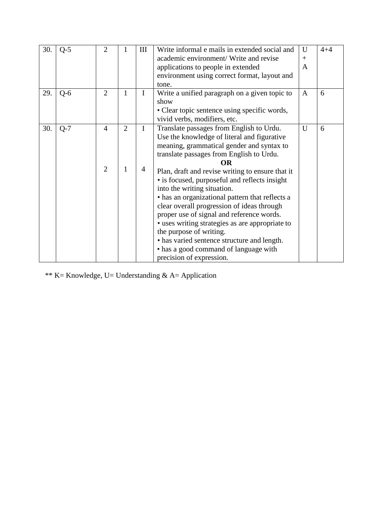| 30. | $Q-5$ | $\overline{2}$ |                | III         | Write informal e mails in extended social and    | U              | $4 + 4$ |
|-----|-------|----------------|----------------|-------------|--------------------------------------------------|----------------|---------|
|     |       |                |                |             | academic environment/ Write and revise           | $^{+}$         |         |
|     |       |                |                |             | applications to people in extended               | A              |         |
|     |       |                |                |             | environment using correct format, layout and     |                |         |
|     |       |                |                |             | tone.                                            |                |         |
| 29. | $Q-6$ | $\overline{2}$ | $\mathbf{1}$   | $\mathbf I$ | Write a unified paragraph on a given topic to    | A              | 6       |
|     |       |                |                |             | show                                             |                |         |
|     |       |                |                |             | • Clear topic sentence using specific words,     |                |         |
|     |       |                |                |             | vivid verbs, modifiers, etc.                     |                |         |
| 30. | $Q-7$ | 4              | $\overline{2}$ | I           | Translate passages from English to Urdu.         | $\overline{U}$ | 6       |
|     |       |                |                |             | Use the knowledge of literal and figurative      |                |         |
|     |       |                |                |             | meaning, grammatical gender and syntax to        |                |         |
|     |       |                |                |             | translate passages from English to Urdu.         |                |         |
|     |       |                |                |             | ОR                                               |                |         |
|     |       | $\overline{2}$ | 1              | 4           | Plan, draft and revise writing to ensure that it |                |         |
|     |       |                |                |             | • is focused, purposeful and reflects insight    |                |         |
|     |       |                |                |             | into the writing situation.                      |                |         |
|     |       |                |                |             | • has an organizational pattern that reflects a  |                |         |
|     |       |                |                |             | clear overall progression of ideas through       |                |         |
|     |       |                |                |             | proper use of signal and reference words.        |                |         |
|     |       |                |                |             | • uses writing strategies as are appropriate to  |                |         |
|     |       |                |                |             | the purpose of writing.                          |                |         |
|     |       |                |                |             | • has varied sentence structure and length.      |                |         |
|     |       |                |                |             | • has a good command of language with            |                |         |
|     |       |                |                |             | precision of expression.                         |                |         |

\*\* K= Knowledge, U= Understanding & A= Application